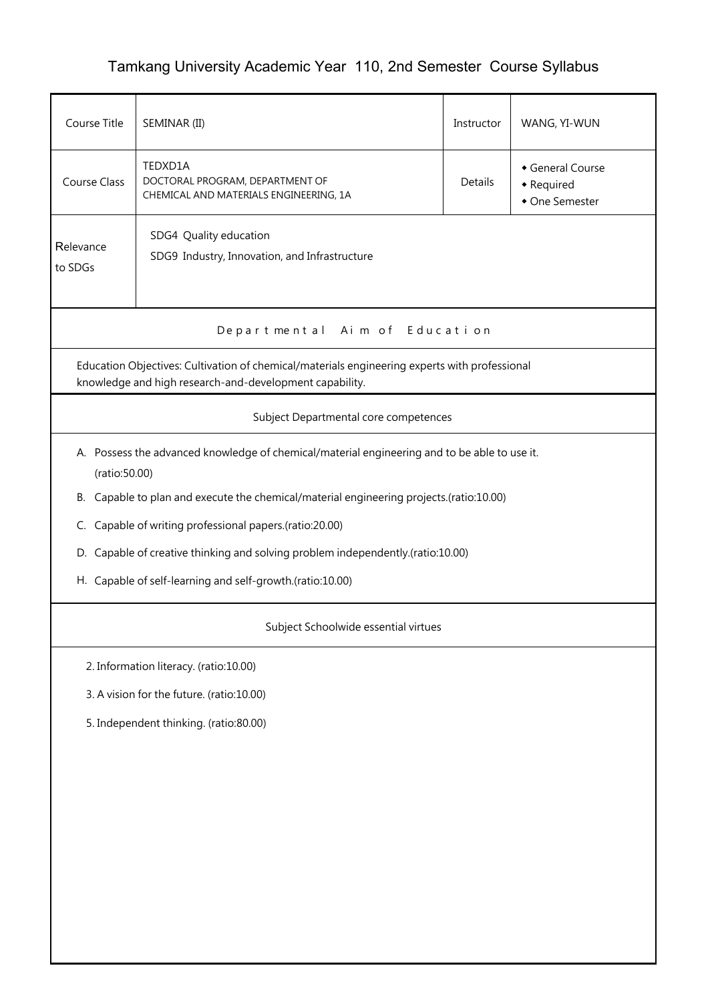## Tamkang University Academic Year 110, 2nd Semester Course Syllabus

| Course Title<br>SEMINAR (II)                                                                                                                                      |                                                                                         | Instructor | WANG, YI-WUN |  |  |
|-------------------------------------------------------------------------------------------------------------------------------------------------------------------|-----------------------------------------------------------------------------------------|------------|--------------|--|--|
| TEDXD1A<br>General Course<br>DOCTORAL PROGRAM, DEPARTMENT OF<br>Course Class<br>Details<br>• Required<br>CHEMICAL AND MATERIALS ENGINEERING, 1A<br>• One Semester |                                                                                         |            |              |  |  |
| Relevance<br>to SDGs                                                                                                                                              | SDG4 Quality education<br>SDG9 Industry, Innovation, and Infrastructure                 |            |              |  |  |
| Departmental Aim of Education                                                                                                                                     |                                                                                         |            |              |  |  |
| Education Objectives: Cultivation of chemical/materials engineering experts with professional<br>knowledge and high research-and-development capability.          |                                                                                         |            |              |  |  |
|                                                                                                                                                                   | Subject Departmental core competences                                                   |            |              |  |  |
| A. Possess the advanced knowledge of chemical/material engineering and to be able to use it.<br>(ratio:50.00)                                                     |                                                                                         |            |              |  |  |
|                                                                                                                                                                   | B. Capable to plan and execute the chemical/material engineering projects.(ratio:10.00) |            |              |  |  |
|                                                                                                                                                                   | C. Capable of writing professional papers.(ratio:20.00)                                 |            |              |  |  |
|                                                                                                                                                                   | D. Capable of creative thinking and solving problem independently.(ratio:10.00)         |            |              |  |  |
|                                                                                                                                                                   | H. Capable of self-learning and self-growth.(ratio:10.00)                               |            |              |  |  |
| Subject Schoolwide essential virtues                                                                                                                              |                                                                                         |            |              |  |  |
| 2. Information literacy. (ratio:10.00)                                                                                                                            |                                                                                         |            |              |  |  |
| 3. A vision for the future. (ratio:10.00)                                                                                                                         |                                                                                         |            |              |  |  |
| 5. Independent thinking. (ratio:80.00)                                                                                                                            |                                                                                         |            |              |  |  |
|                                                                                                                                                                   |                                                                                         |            |              |  |  |
|                                                                                                                                                                   |                                                                                         |            |              |  |  |
|                                                                                                                                                                   |                                                                                         |            |              |  |  |
|                                                                                                                                                                   |                                                                                         |            |              |  |  |
|                                                                                                                                                                   |                                                                                         |            |              |  |  |
|                                                                                                                                                                   |                                                                                         |            |              |  |  |
|                                                                                                                                                                   |                                                                                         |            |              |  |  |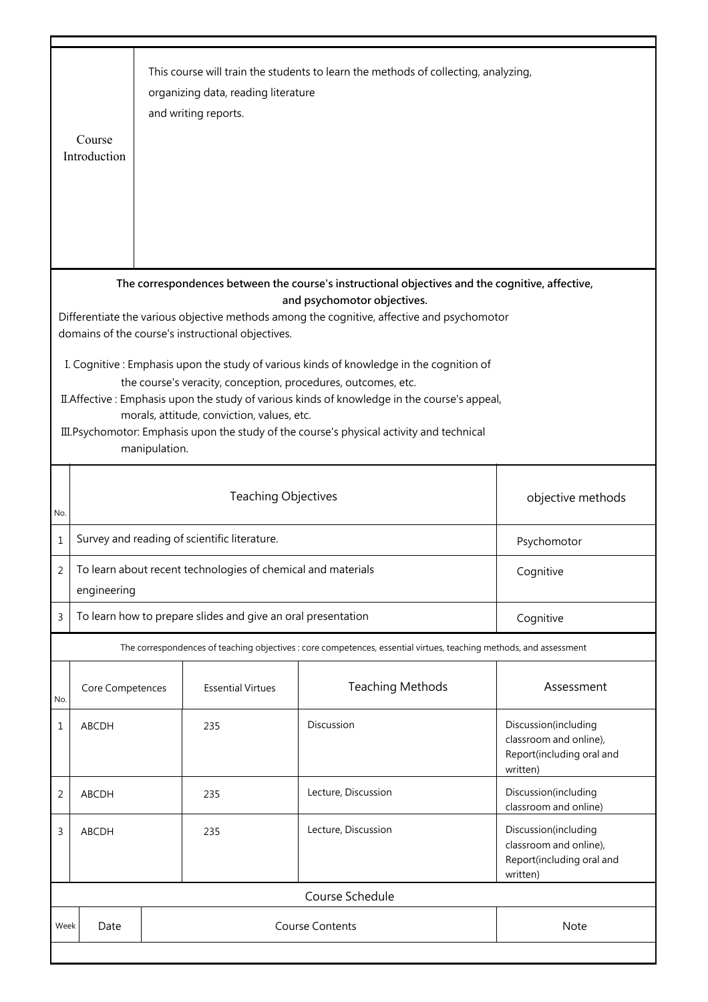|                                                                                                                                                                                                                                                                                                                                                                                                                                                                                                                                                                                                                                                                                                           | Course<br>Introduction                                                      |  | organizing data, reading literature<br>and writing reports.  | This course will train the students to learn the methods of collecting, analyzing,                                 |                                                                                         |
|-----------------------------------------------------------------------------------------------------------------------------------------------------------------------------------------------------------------------------------------------------------------------------------------------------------------------------------------------------------------------------------------------------------------------------------------------------------------------------------------------------------------------------------------------------------------------------------------------------------------------------------------------------------------------------------------------------------|-----------------------------------------------------------------------------|--|--------------------------------------------------------------|--------------------------------------------------------------------------------------------------------------------|-----------------------------------------------------------------------------------------|
| The correspondences between the course's instructional objectives and the cognitive, affective,<br>and psychomotor objectives.<br>Differentiate the various objective methods among the cognitive, affective and psychomotor<br>domains of the course's instructional objectives.<br>I. Cognitive: Emphasis upon the study of various kinds of knowledge in the cognition of<br>the course's veracity, conception, procedures, outcomes, etc.<br>II. Affective: Emphasis upon the study of various kinds of knowledge in the course's appeal,<br>morals, attitude, conviction, values, etc.<br>III. Psychomotor: Emphasis upon the study of the course's physical activity and technical<br>manipulation. |                                                                             |  |                                                              |                                                                                                                    |                                                                                         |
| No.                                                                                                                                                                                                                                                                                                                                                                                                                                                                                                                                                                                                                                                                                                       |                                                                             |  | <b>Teaching Objectives</b>                                   |                                                                                                                    | objective methods                                                                       |
| 1                                                                                                                                                                                                                                                                                                                                                                                                                                                                                                                                                                                                                                                                                                         | Survey and reading of scientific literature.                                |  | Psychomotor                                                  |                                                                                                                    |                                                                                         |
| $\overline{2}$                                                                                                                                                                                                                                                                                                                                                                                                                                                                                                                                                                                                                                                                                            | To learn about recent technologies of chemical and materials<br>engineering |  |                                                              |                                                                                                                    | Cognitive                                                                               |
| 3                                                                                                                                                                                                                                                                                                                                                                                                                                                                                                                                                                                                                                                                                                         |                                                                             |  | To learn how to prepare slides and give an oral presentation |                                                                                                                    | Cognitive                                                                               |
|                                                                                                                                                                                                                                                                                                                                                                                                                                                                                                                                                                                                                                                                                                           |                                                                             |  |                                                              | The correspondences of teaching objectives : core competences, essential virtues, teaching methods, and assessment |                                                                                         |
| No.                                                                                                                                                                                                                                                                                                                                                                                                                                                                                                                                                                                                                                                                                                       | Core Competences                                                            |  | <b>Essential Virtues</b>                                     | <b>Teaching Methods</b>                                                                                            | Assessment                                                                              |
| 1                                                                                                                                                                                                                                                                                                                                                                                                                                                                                                                                                                                                                                                                                                         | <b>ABCDH</b>                                                                |  | 235                                                          | Discussion                                                                                                         | Discussion(including<br>classroom and online),<br>Report(including oral and<br>written) |
| 2                                                                                                                                                                                                                                                                                                                                                                                                                                                                                                                                                                                                                                                                                                         | ABCDH                                                                       |  | 235                                                          | Lecture, Discussion                                                                                                | Discussion(including<br>classroom and online)                                           |
| 3                                                                                                                                                                                                                                                                                                                                                                                                                                                                                                                                                                                                                                                                                                         | ABCDH                                                                       |  | 235                                                          | Lecture, Discussion                                                                                                | Discussion(including<br>classroom and online),<br>Report(including oral and<br>written) |
|                                                                                                                                                                                                                                                                                                                                                                                                                                                                                                                                                                                                                                                                                                           |                                                                             |  |                                                              | Course Schedule                                                                                                    |                                                                                         |
|                                                                                                                                                                                                                                                                                                                                                                                                                                                                                                                                                                                                                                                                                                           | <b>Course Contents</b><br><b>Note</b><br>Date<br>Week                       |  |                                                              |                                                                                                                    |                                                                                         |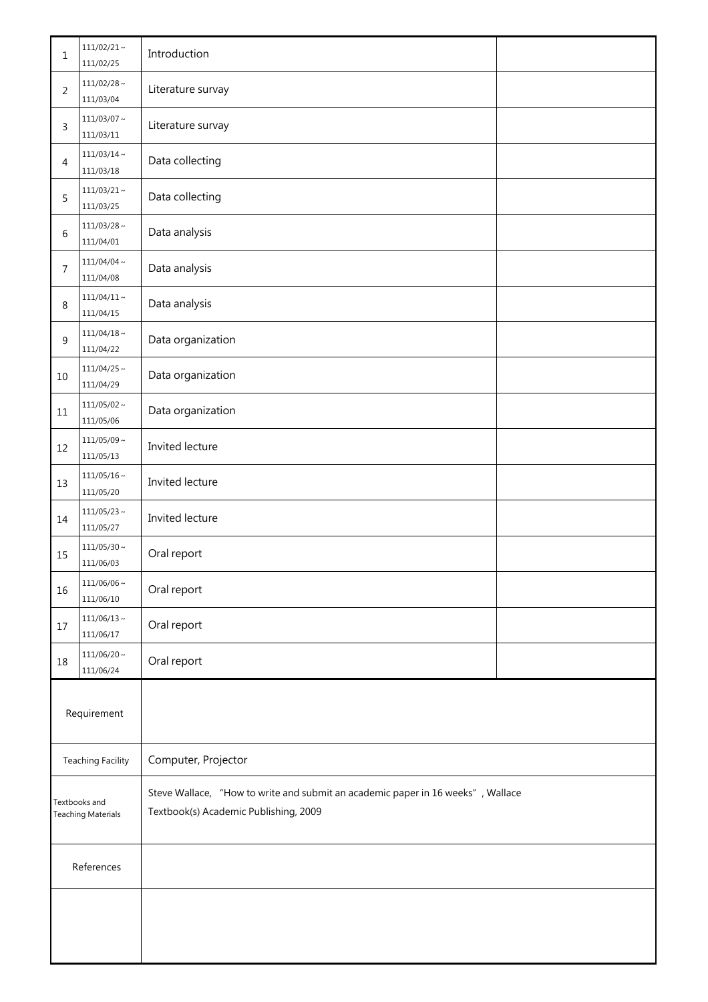| 1                                          | $111/02/21\sim$<br>111/02/25  | Introduction                                                                                                             |  |
|--------------------------------------------|-------------------------------|--------------------------------------------------------------------------------------------------------------------------|--|
| 2                                          | $111/02/28 \sim$<br>111/03/04 | Literature survay                                                                                                        |  |
| 3                                          | $111/03/07 \sim$<br>111/03/11 | Literature survay                                                                                                        |  |
| 4                                          | $111/03/14 \sim$<br>111/03/18 | Data collecting                                                                                                          |  |
| 5                                          | $111/03/21 \sim$<br>111/03/25 | Data collecting                                                                                                          |  |
| 6                                          | $111/03/28 \sim$<br>111/04/01 | Data analysis                                                                                                            |  |
| 7                                          | $111/04/04 \sim$<br>111/04/08 | Data analysis                                                                                                            |  |
| 8                                          | $111/04/11 \sim$<br>111/04/15 | Data analysis                                                                                                            |  |
| 9                                          | $111/04/18 \sim$<br>111/04/22 | Data organization                                                                                                        |  |
| 10                                         | $111/04/25\sim$<br>111/04/29  | Data organization                                                                                                        |  |
| 11                                         | $111/05/02 \sim$<br>111/05/06 | Data organization                                                                                                        |  |
| 12                                         | $111/05/09 \sim$<br>111/05/13 | Invited lecture                                                                                                          |  |
| 13                                         | $111/05/16 \sim$<br>111/05/20 | Invited lecture                                                                                                          |  |
| 14                                         | $111/05/23 \sim$<br>111/05/27 | Invited lecture                                                                                                          |  |
| 15                                         | $111/05/30 \sim$<br>111/06/03 | Oral report                                                                                                              |  |
| 16                                         | $111/06/06 \sim$<br>111/06/10 | Oral report                                                                                                              |  |
| $17\,$                                     | $111/06/13 \sim$<br>111/06/17 | Oral report                                                                                                              |  |
| 18                                         | $111/06/20 \sim$<br>111/06/24 | Oral report                                                                                                              |  |
| Requirement                                |                               |                                                                                                                          |  |
| <b>Teaching Facility</b>                   |                               | Computer, Projector                                                                                                      |  |
| Textbooks and<br><b>Teaching Materials</b> |                               | Steve Wallace, "How to write and submit an academic paper in 16 weeks", Wallace<br>Textbook(s) Academic Publishing, 2009 |  |
| References                                 |                               |                                                                                                                          |  |
|                                            |                               |                                                                                                                          |  |
|                                            |                               |                                                                                                                          |  |